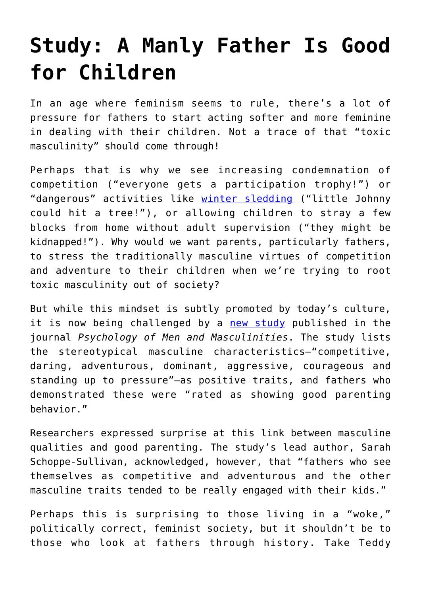## **[Study: A Manly Father Is Good](https://intellectualtakeout.org/2021/04/study-a-manly-father-is-good-for-children/) [for Children](https://intellectualtakeout.org/2021/04/study-a-manly-father-is-good-for-children/)**

In an age where feminism seems to rule, there's a lot of pressure for fathers to start acting softer and more feminine in dealing with their children. Not a trace of that "toxic masculinity" should come through!

Perhaps that is why we see increasing condemnation of competition ("everyone gets a participation trophy!") or "dangerous" activities like [winter sledding](https://reason.com/2020/12/24/sledding-kids-safty-first-accuweather-nationwide-insurance/) ("little Johnny could hit a tree!"), or allowing children to stray a few blocks from home without adult supervision ("they might be kidnapped!"). Why would we want parents, particularly fathers, to stress the traditionally masculine virtues of competition and adventure to their children when we're trying to root toxic masculinity out of society?

But while this mindset is subtly promoted by today's culture, it is now being challenged by a [new study](https://news.osu.edu/masculine-traits-linked-to-better-parenting-for-some-dads/) published in the journal *Psychology of Men and Masculinities*. The study lists the stereotypical masculine characteristics—"competitive, daring, adventurous, dominant, aggressive, courageous and standing up to pressure"—as positive traits, and fathers who demonstrated these were "rated as showing good parenting behavior."

Researchers expressed surprise at this link between masculine qualities and good parenting. The study's lead author, Sarah Schoppe-Sullivan, acknowledged, however, that "fathers who see themselves as competitive and adventurous and the other masculine traits tended to be really engaged with their kids."

Perhaps this is surprising to those living in a "woke," politically correct, feminist society, but it shouldn't be to those who look at fathers through history. Take Teddy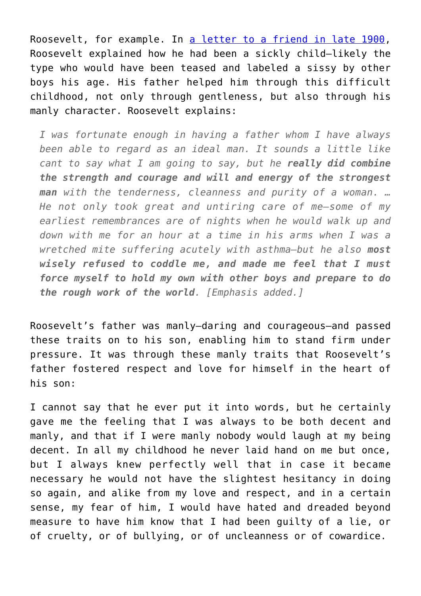Roosevelt, for example. In [a letter to a friend in late 1900,](https://www.google.com/books/edition/Theodore_Roosevelt_and_His_Time_Shown_in/KPMEAAAAYAAJ?q=having+a+father&kptab=overview&gbpv=1&bsq=I%20was%20fortunate%20enough%20in%20having%20a%20father%20whom%20I%20have%20always%20been%20able%20to%20regard%20as%20an%20ideal%20man.%20It%20sounds%20a%20little%20like%20cant%20to%20say%20what%20I%20am%20going%20to%20say,%20but%20he%20really%20did%20combine%20the%20strength%20and%20courage%20and%20will%20and%20energy%20of%20the%20strongest%20man%20with%20the%20tenderness,%20cleanliness%20and%20purity%20of%20a%20woman#f=false) Roosevelt explained how he had been a sickly child—likely the type who would have been teased and labeled a sissy by other boys his age. His father helped him through this difficult childhood, not only through gentleness, but also through his manly character. Roosevelt explains:

*I was fortunate enough in having a father whom I have always been able to regard as an ideal man. It sounds a little like cant to say what I am going to say, but he really did combine the strength and courage and will and energy of the strongest man with the tenderness, cleanness and purity of a woman. … He not only took great and untiring care of me—some of my earliest remembrances are of nights when he would walk up and down with me for an hour at a time in his arms when I was a wretched mite suffering acutely with asthma—but he also most wisely refused to coddle me, and made me feel that I must force myself to hold my own with other boys and prepare to do the rough work of the world. [Emphasis added.]*

Roosevelt's father was manly—daring and courageous—and passed these traits on to his son, enabling him to stand firm under pressure. It was through these manly traits that Roosevelt's father fostered respect and love for himself in the heart of his son:

I cannot say that he ever put it into words, but he certainly gave me the feeling that I was always to be both decent and manly, and that if I were manly nobody would laugh at my being decent. In all my childhood he never laid hand on me but once, but I always knew perfectly well that in case it became necessary he would not have the slightest hesitancy in doing so again, and alike from my love and respect, and in a certain sense, my fear of him, I would have hated and dreaded beyond measure to have him know that I had been guilty of a lie, or of cruelty, or of bullying, or of uncleanness or of cowardice.